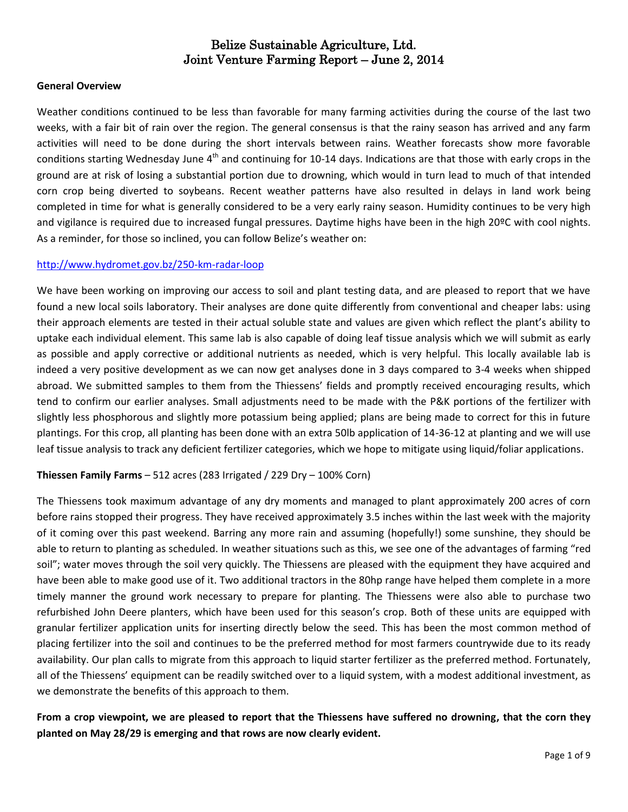#### **General Overview**

Weather conditions continued to be less than favorable for many farming activities during the course of the last two weeks, with a fair bit of rain over the region. The general consensus is that the rainy season has arrived and any farm activities will need to be done during the short intervals between rains. Weather forecasts show more favorable conditions starting Wednesday June  $4<sup>th</sup>$  and continuing for 10-14 days. Indications are that those with early crops in the ground are at risk of losing a substantial portion due to drowning, which would in turn lead to much of that intended corn crop being diverted to soybeans. Recent weather patterns have also resulted in delays in land work being completed in time for what is generally considered to be a very early rainy season. Humidity continues to be very high and vigilance is required due to increased fungal pressures. Daytime highs have been in the high 20ºC with cool nights. As a reminder, for those so inclined, you can follow Belize's weather on:

#### <http://www.hydromet.gov.bz/250-km-radar-loop>

We have been working on improving our access to soil and plant testing data, and are pleased to report that we have found a new local soils laboratory. Their analyses are done quite differently from conventional and cheaper labs: using their approach elements are tested in their actual soluble state and values are given which reflect the plant's ability to uptake each individual element. This same lab is also capable of doing leaf tissue analysis which we will submit as early as possible and apply corrective or additional nutrients as needed, which is very helpful. This locally available lab is indeed a very positive development as we can now get analyses done in 3 days compared to 3-4 weeks when shipped abroad. We submitted samples to them from the Thiessens' fields and promptly received encouraging results, which tend to confirm our earlier analyses. Small adjustments need to be made with the P&K portions of the fertilizer with slightly less phosphorous and slightly more potassium being applied; plans are being made to correct for this in future plantings. For this crop, all planting has been done with an extra 50lb application of 14-36-12 at planting and we will use leaf tissue analysis to track any deficient fertilizer categories, which we hope to mitigate using liquid/foliar applications.

#### **Thiessen Family Farms** – 512 acres (283 Irrigated / 229 Dry – 100% Corn)

The Thiessens took maximum advantage of any dry moments and managed to plant approximately 200 acres of corn before rains stopped their progress. They have received approximately 3.5 inches within the last week with the majority of it coming over this past weekend. Barring any more rain and assuming (hopefully!) some sunshine, they should be able to return to planting as scheduled. In weather situations such as this, we see one of the advantages of farming "red soil"; water moves through the soil very quickly. The Thiessens are pleased with the equipment they have acquired and have been able to make good use of it. Two additional tractors in the 80hp range have helped them complete in a more timely manner the ground work necessary to prepare for planting. The Thiessens were also able to purchase two refurbished John Deere planters, which have been used for this season's crop. Both of these units are equipped with granular fertilizer application units for inserting directly below the seed. This has been the most common method of placing fertilizer into the soil and continues to be the preferred method for most farmers countrywide due to its ready availability. Our plan calls to migrate from this approach to liquid starter fertilizer as the preferred method. Fortunately, all of the Thiessens' equipment can be readily switched over to a liquid system, with a modest additional investment, as we demonstrate the benefits of this approach to them.

## **From a crop viewpoint, we are pleased to report that the Thiessens have suffered no drowning, that the corn they planted on May 28/29 is emerging and that rows are now clearly evident.**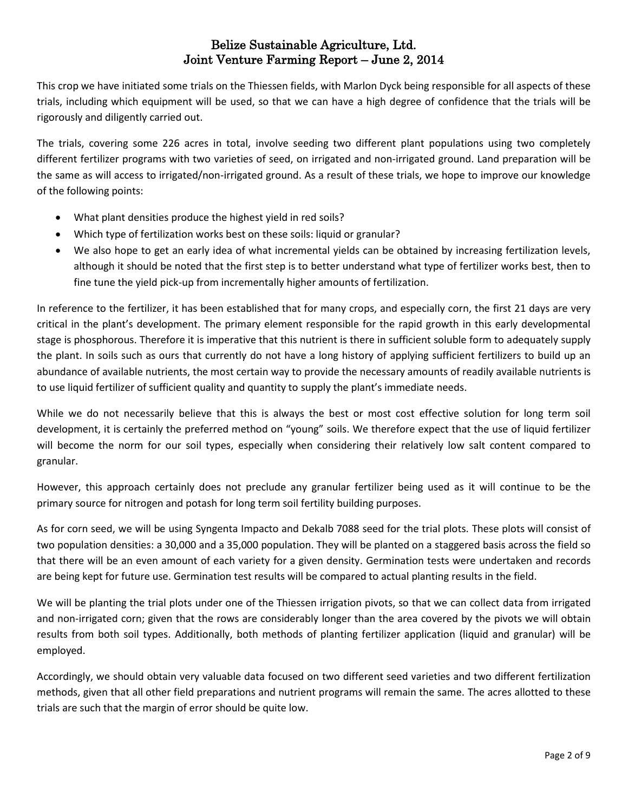This crop we have initiated some trials on the Thiessen fields, with Marlon Dyck being responsible for all aspects of these trials, including which equipment will be used, so that we can have a high degree of confidence that the trials will be rigorously and diligently carried out.

The trials, covering some 226 acres in total, involve seeding two different plant populations using two completely different fertilizer programs with two varieties of seed, on irrigated and non-irrigated ground. Land preparation will be the same as will access to irrigated/non-irrigated ground. As a result of these trials, we hope to improve our knowledge of the following points:

- What plant densities produce the highest yield in red soils?
- Which type of fertilization works best on these soils: liquid or granular?
- We also hope to get an early idea of what incremental yields can be obtained by increasing fertilization levels, although it should be noted that the first step is to better understand what type of fertilizer works best, then to fine tune the yield pick-up from incrementally higher amounts of fertilization.

In reference to the fertilizer, it has been established that for many crops, and especially corn, the first 21 days are very critical in the plant's development. The primary element responsible for the rapid growth in this early developmental stage is phosphorous. Therefore it is imperative that this nutrient is there in sufficient soluble form to adequately supply the plant. In soils such as ours that currently do not have a long history of applying sufficient fertilizers to build up an abundance of available nutrients, the most certain way to provide the necessary amounts of readily available nutrients is to use liquid fertilizer of sufficient quality and quantity to supply the plant's immediate needs.

While we do not necessarily believe that this is always the best or most cost effective solution for long term soil development, it is certainly the preferred method on "young" soils. We therefore expect that the use of liquid fertilizer will become the norm for our soil types, especially when considering their relatively low salt content compared to granular.

However, this approach certainly does not preclude any granular fertilizer being used as it will continue to be the primary source for nitrogen and potash for long term soil fertility building purposes.

As for corn seed, we will be using Syngenta Impacto and Dekalb 7088 seed for the trial plots. These plots will consist of two population densities: a 30,000 and a 35,000 population. They will be planted on a staggered basis across the field so that there will be an even amount of each variety for a given density. Germination tests were undertaken and records are being kept for future use. Germination test results will be compared to actual planting results in the field.

We will be planting the trial plots under one of the Thiessen irrigation pivots, so that we can collect data from irrigated and non-irrigated corn; given that the rows are considerably longer than the area covered by the pivots we will obtain results from both soil types. Additionally, both methods of planting fertilizer application (liquid and granular) will be employed.

Accordingly, we should obtain very valuable data focused on two different seed varieties and two different fertilization methods, given that all other field preparations and nutrient programs will remain the same. The acres allotted to these trials are such that the margin of error should be quite low.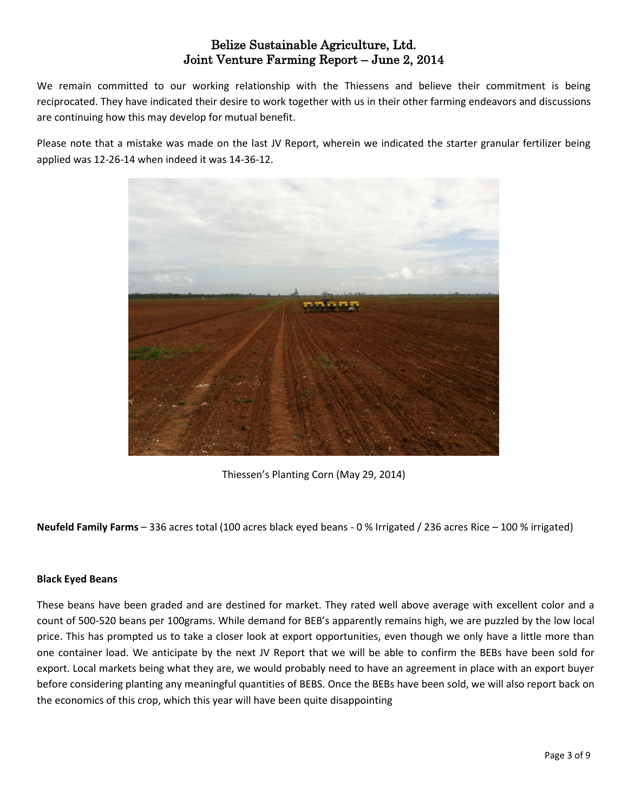We remain committed to our working relationship with the Thiessens and believe their commitment is being reciprocated. They have indicated their desire to work together with us in their other farming endeavors and discussions are continuing how this may develop for mutual benefit.

Please note that a mistake was made on the last JV Report, wherein we indicated the starter granular fertilizer being applied was 12-26-14 when indeed it was 14-36-12.



Thiessen's Planting Corn (May 29, 2014)

**Neufeld Family Farms** – 336 acres total (100 acres black eyed beans - 0 % Irrigated / 236 acres Rice – 100 % irrigated)

#### **Black Eyed Beans**

These beans have been graded and are destined for market. They rated well above average with excellent color and a count of 500-520 beans per 100grams. While demand for BEB's apparently remains high, we are puzzled by the low local price. This has prompted us to take a closer look at export opportunities, even though we only have a little more than one container load. We anticipate by the next JV Report that we will be able to confirm the BEBs have been sold for export. Local markets being what they are, we would probably need to have an agreement in place with an export buyer before considering planting any meaningful quantities of BEBS. Once the BEBs have been sold, we will also report back on the economics of this crop, which this year will have been quite disappointing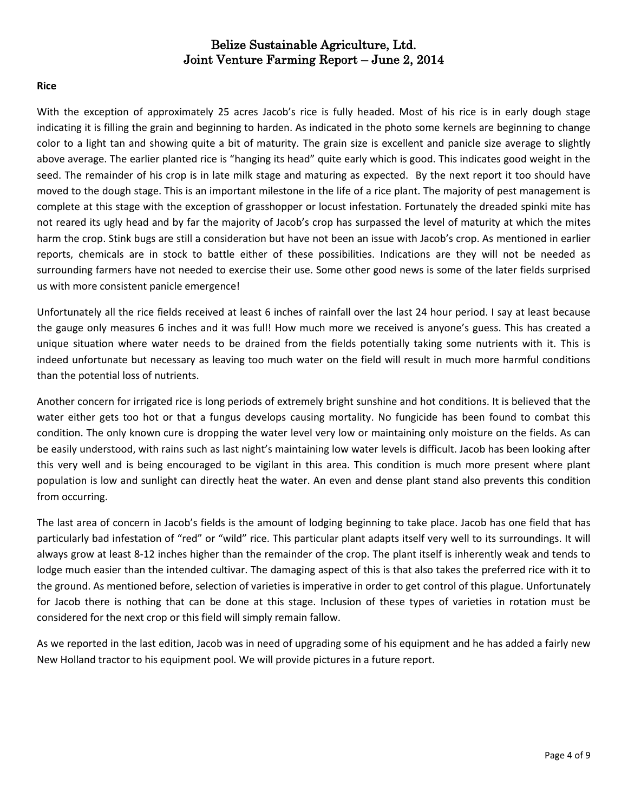#### **Rice**

With the exception of approximately 25 acres Jacob's rice is fully headed. Most of his rice is in early dough stage indicating it is filling the grain and beginning to harden. As indicated in the photo some kernels are beginning to change color to a light tan and showing quite a bit of maturity. The grain size is excellent and panicle size average to slightly above average. The earlier planted rice is "hanging its head" quite early which is good. This indicates good weight in the seed. The remainder of his crop is in late milk stage and maturing as expected. By the next report it too should have moved to the dough stage. This is an important milestone in the life of a rice plant. The majority of pest management is complete at this stage with the exception of grasshopper or locust infestation. Fortunately the dreaded spinki mite has not reared its ugly head and by far the majority of Jacob's crop has surpassed the level of maturity at which the mites harm the crop. Stink bugs are still a consideration but have not been an issue with Jacob's crop. As mentioned in earlier reports, chemicals are in stock to battle either of these possibilities. Indications are they will not be needed as surrounding farmers have not needed to exercise their use. Some other good news is some of the later fields surprised us with more consistent panicle emergence!

Unfortunately all the rice fields received at least 6 inches of rainfall over the last 24 hour period. I say at least because the gauge only measures 6 inches and it was full! How much more we received is anyone's guess. This has created a unique situation where water needs to be drained from the fields potentially taking some nutrients with it. This is indeed unfortunate but necessary as leaving too much water on the field will result in much more harmful conditions than the potential loss of nutrients.

Another concern for irrigated rice is long periods of extremely bright sunshine and hot conditions. It is believed that the water either gets too hot or that a fungus develops causing mortality. No fungicide has been found to combat this condition. The only known cure is dropping the water level very low or maintaining only moisture on the fields. As can be easily understood, with rains such as last night's maintaining low water levels is difficult. Jacob has been looking after this very well and is being encouraged to be vigilant in this area. This condition is much more present where plant population is low and sunlight can directly heat the water. An even and dense plant stand also prevents this condition from occurring.

The last area of concern in Jacob's fields is the amount of lodging beginning to take place. Jacob has one field that has particularly bad infestation of "red" or "wild" rice. This particular plant adapts itself very well to its surroundings. It will always grow at least 8-12 inches higher than the remainder of the crop. The plant itself is inherently weak and tends to lodge much easier than the intended cultivar. The damaging aspect of this is that also takes the preferred rice with it to the ground. As mentioned before, selection of varieties is imperative in order to get control of this plague. Unfortunately for Jacob there is nothing that can be done at this stage. Inclusion of these types of varieties in rotation must be considered for the next crop or this field will simply remain fallow.

As we reported in the last edition, Jacob was in need of upgrading some of his equipment and he has added a fairly new New Holland tractor to his equipment pool. We will provide pictures in a future report.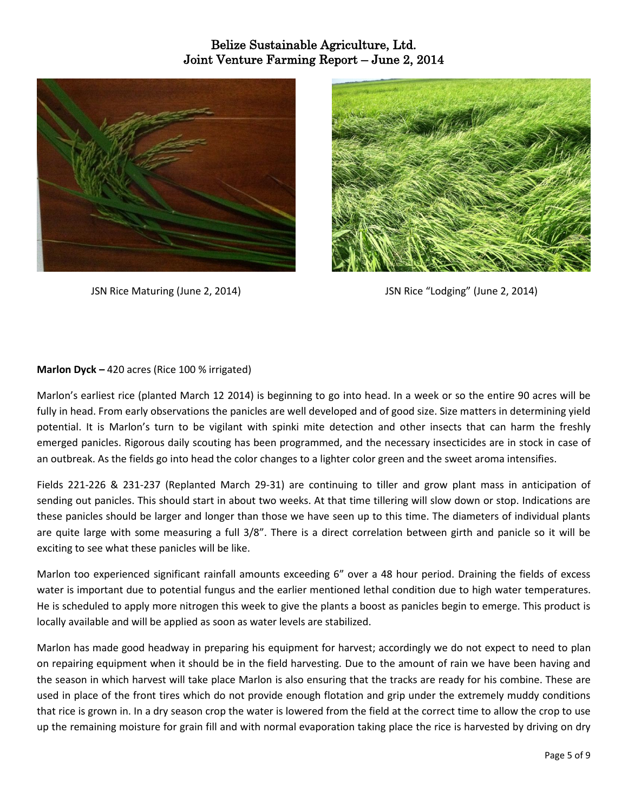



JSN Rice Maturing (June 2, 2014) JSN Rice "Lodging" (June 2, 2014)

## **Marlon Dyck –** 420 acres (Rice 100 % irrigated)

Marlon's earliest rice (planted March 12 2014) is beginning to go into head. In a week or so the entire 90 acres will be fully in head. From early observations the panicles are well developed and of good size. Size matters in determining yield potential. It is Marlon's turn to be vigilant with spinki mite detection and other insects that can harm the freshly emerged panicles. Rigorous daily scouting has been programmed, and the necessary insecticides are in stock in case of an outbreak. As the fields go into head the color changes to a lighter color green and the sweet aroma intensifies.

Fields 221-226 & 231-237 (Replanted March 29-31) are continuing to tiller and grow plant mass in anticipation of sending out panicles. This should start in about two weeks. At that time tillering will slow down or stop. Indications are these panicles should be larger and longer than those we have seen up to this time. The diameters of individual plants are quite large with some measuring a full 3/8". There is a direct correlation between girth and panicle so it will be exciting to see what these panicles will be like.

Marlon too experienced significant rainfall amounts exceeding 6" over a 48 hour period. Draining the fields of excess water is important due to potential fungus and the earlier mentioned lethal condition due to high water temperatures. He is scheduled to apply more nitrogen this week to give the plants a boost as panicles begin to emerge. This product is locally available and will be applied as soon as water levels are stabilized.

Marlon has made good headway in preparing his equipment for harvest; accordingly we do not expect to need to plan on repairing equipment when it should be in the field harvesting. Due to the amount of rain we have been having and the season in which harvest will take place Marlon is also ensuring that the tracks are ready for his combine. These are used in place of the front tires which do not provide enough flotation and grip under the extremely muddy conditions that rice is grown in. In a dry season crop the water is lowered from the field at the correct time to allow the crop to use up the remaining moisture for grain fill and with normal evaporation taking place the rice is harvested by driving on dry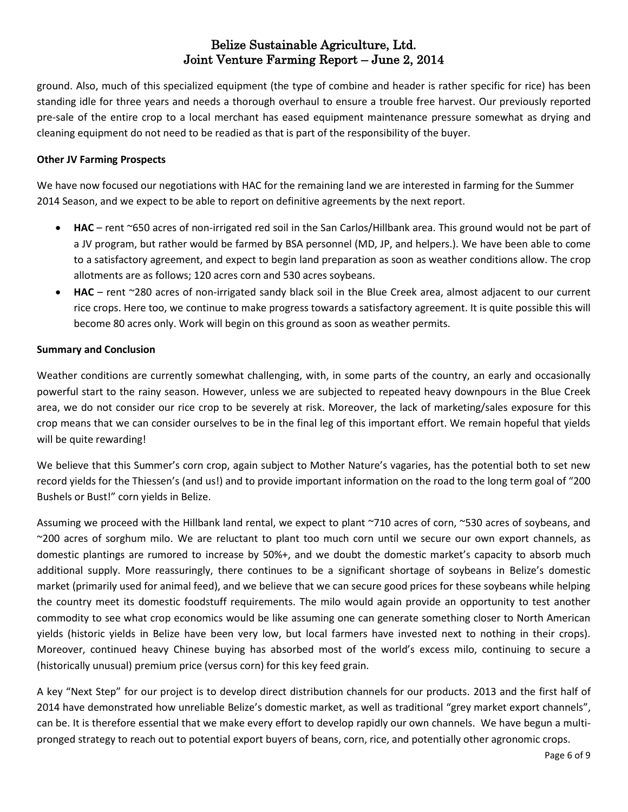ground. Also, much of this specialized equipment (the type of combine and header is rather specific for rice) has been standing idle for three years and needs a thorough overhaul to ensure a trouble free harvest. Our previously reported pre-sale of the entire crop to a local merchant has eased equipment maintenance pressure somewhat as drying and cleaning equipment do not need to be readied as that is part of the responsibility of the buyer.

### **Other JV Farming Prospects**

We have now focused our negotiations with HAC for the remaining land we are interested in farming for the Summer 2014 Season, and we expect to be able to report on definitive agreements by the next report.

- **HAC** rent ~650 acres of non-irrigated red soil in the San Carlos/Hillbank area. This ground would not be part of a JV program, but rather would be farmed by BSA personnel (MD, JP, and helpers.). We have been able to come to a satisfactory agreement, and expect to begin land preparation as soon as weather conditions allow. The crop allotments are as follows; 120 acres corn and 530 acres soybeans.
- **HAC**  rent ~280 acres of non-irrigated sandy black soil in the Blue Creek area, almost adjacent to our current rice crops. Here too, we continue to make progress towards a satisfactory agreement. It is quite possible this will become 80 acres only. Work will begin on this ground as soon as weather permits.

## **Summary and Conclusion**

Weather conditions are currently somewhat challenging, with, in some parts of the country, an early and occasionally powerful start to the rainy season. However, unless we are subjected to repeated heavy downpours in the Blue Creek area, we do not consider our rice crop to be severely at risk. Moreover, the lack of marketing/sales exposure for this crop means that we can consider ourselves to be in the final leg of this important effort. We remain hopeful that yields will be quite rewarding!

We believe that this Summer's corn crop, again subject to Mother Nature's vagaries, has the potential both to set new record yields for the Thiessen's (and us!) and to provide important information on the road to the long term goal of "200 Bushels or Bust!" corn yields in Belize.

Assuming we proceed with the Hillbank land rental, we expect to plant ~710 acres of corn, ~530 acres of soybeans, and ~200 acres of sorghum milo. We are reluctant to plant too much corn until we secure our own export channels, as domestic plantings are rumored to increase by 50%+, and we doubt the domestic market's capacity to absorb much additional supply. More reassuringly, there continues to be a significant shortage of soybeans in Belize's domestic market (primarily used for animal feed), and we believe that we can secure good prices for these soybeans while helping the country meet its domestic foodstuff requirements. The milo would again provide an opportunity to test another commodity to see what crop economics would be like assuming one can generate something closer to North American yields (historic yields in Belize have been very low, but local farmers have invested next to nothing in their crops). Moreover, continued heavy Chinese buying has absorbed most of the world's excess milo, continuing to secure a (historically unusual) premium price (versus corn) for this key feed grain.

A key "Next Step" for our project is to develop direct distribution channels for our products. 2013 and the first half of 2014 have demonstrated how unreliable Belize's domestic market, as well as traditional "grey market export channels", can be. It is therefore essential that we make every effort to develop rapidly our own channels. We have begun a multipronged strategy to reach out to potential export buyers of beans, corn, rice, and potentially other agronomic crops.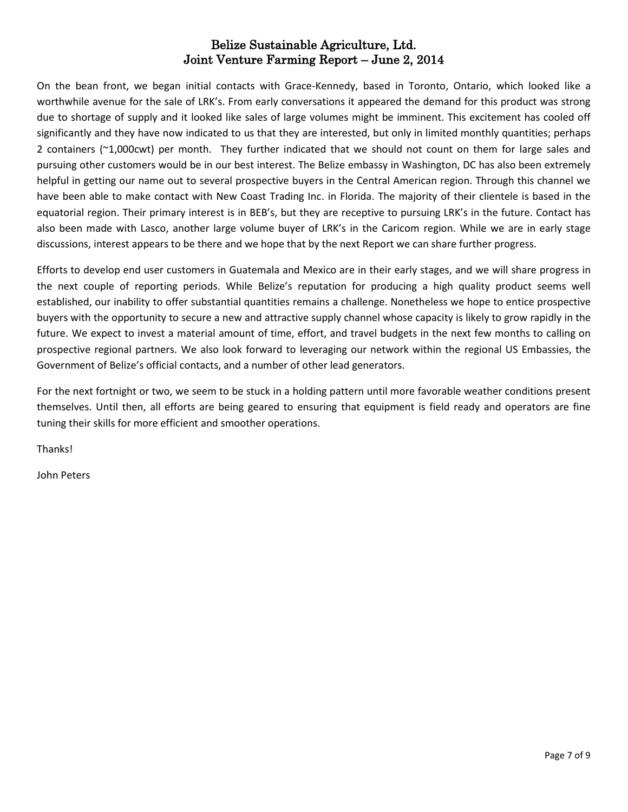On the bean front, we began initial contacts with Grace-Kennedy, based in Toronto, Ontario, which looked like a worthwhile avenue for the sale of LRK's. From early conversations it appeared the demand for this product was strong due to shortage of supply and it looked like sales of large volumes might be imminent. This excitement has cooled off significantly and they have now indicated to us that they are interested, but only in limited monthly quantities; perhaps 2 containers (~1,000cwt) per month. They further indicated that we should not count on them for large sales and pursuing other customers would be in our best interest. The Belize embassy in Washington, DC has also been extremely helpful in getting our name out to several prospective buyers in the Central American region. Through this channel we have been able to make contact with New Coast Trading Inc. in Florida. The majority of their clientele is based in the equatorial region. Their primary interest is in BEB's, but they are receptive to pursuing LRK's in the future. Contact has also been made with Lasco, another large volume buyer of LRK's in the Caricom region. While we are in early stage discussions, interest appears to be there and we hope that by the next Report we can share further progress.

Efforts to develop end user customers in Guatemala and Mexico are in their early stages, and we will share progress in the next couple of reporting periods. While Belize's reputation for producing a high quality product seems well established, our inability to offer substantial quantities remains a challenge. Nonetheless we hope to entice prospective buyers with the opportunity to secure a new and attractive supply channel whose capacity is likely to grow rapidly in the future. We expect to invest a material amount of time, effort, and travel budgets in the next few months to calling on prospective regional partners. We also look forward to leveraging our network within the regional US Embassies, the Government of Belize's official contacts, and a number of other lead generators.

For the next fortnight or two, we seem to be stuck in a holding pattern until more favorable weather conditions present themselves. Until then, all efforts are being geared to ensuring that equipment is field ready and operators are fine tuning their skills for more efficient and smoother operations.

Thanks!

John Peters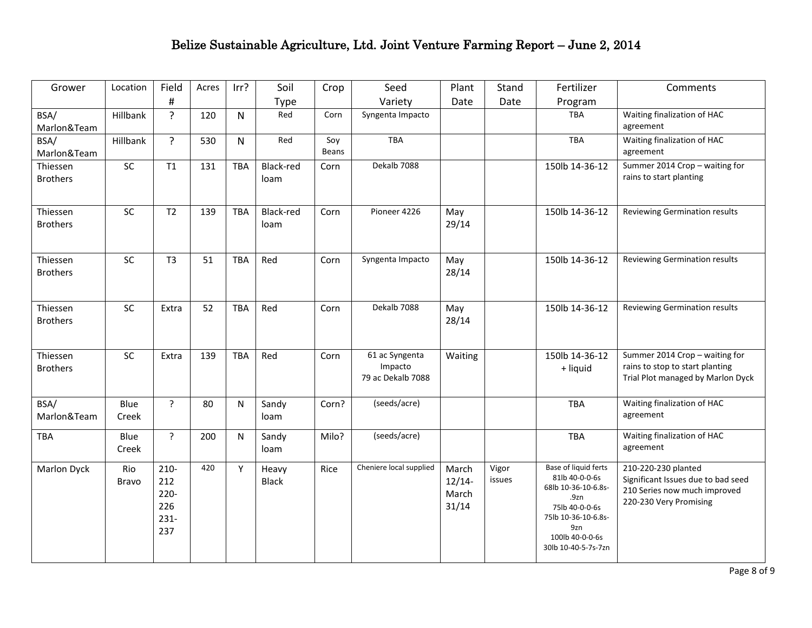| Grower                      | Location      | Field                                              | Acres | Irr?         | Soil                  | Crop         | Seed                                           | Plant                               | Stand           | Fertilizer                                                                                                                                                             | Comments                                                                                                            |
|-----------------------------|---------------|----------------------------------------------------|-------|--------------|-----------------------|--------------|------------------------------------------------|-------------------------------------|-----------------|------------------------------------------------------------------------------------------------------------------------------------------------------------------------|---------------------------------------------------------------------------------------------------------------------|
|                             |               | $\sharp$                                           |       |              | <b>Type</b>           |              | Variety                                        | Date                                | Date            | Program                                                                                                                                                                |                                                                                                                     |
| BSA/<br>Marlon&Team         | Hillbank      | $\overline{?}$                                     | 120   | $\mathsf{N}$ | Red                   | Corn         | Syngenta Impacto                               |                                     |                 | <b>TBA</b>                                                                                                                                                             | Waiting finalization of HAC<br>agreement                                                                            |
| BSA/<br>Marlon&Team         | Hillbank      | $\tilde{?}$                                        | 530   | $\mathsf{N}$ | Red                   | Soy<br>Beans | <b>TBA</b>                                     |                                     |                 | TBA                                                                                                                                                                    | Waiting finalization of HAC<br>agreement                                                                            |
| Thiessen<br><b>Brothers</b> | SC            | T1                                                 | 131   | <b>TBA</b>   | Black-red<br>loam     | Corn         | Dekalb 7088                                    |                                     |                 | 150lb 14-36-12                                                                                                                                                         | Summer 2014 Crop - waiting for<br>rains to start planting                                                           |
| Thiessen<br><b>Brothers</b> | SC            | T2                                                 | 139   | <b>TBA</b>   | Black-red<br>loam     | Corn         | Pioneer 4226                                   | May<br>29/14                        |                 | 150lb 14-36-12                                                                                                                                                         | Reviewing Germination results                                                                                       |
| Thiessen<br><b>Brothers</b> | SC            | T <sub>3</sub>                                     | 51    | <b>TBA</b>   | Red                   | Corn         | Syngenta Impacto                               | May<br>28/14                        |                 | 150lb 14-36-12                                                                                                                                                         | Reviewing Germination results                                                                                       |
| Thiessen<br><b>Brothers</b> | SC            | Extra                                              | 52    | <b>TBA</b>   | Red                   | Corn         | Dekalb 7088                                    | May<br>28/14                        |                 | 150lb 14-36-12                                                                                                                                                         | Reviewing Germination results                                                                                       |
| Thiessen<br><b>Brothers</b> | SC            | Extra                                              | 139   | TBA          | Red                   | Corn         | 61 ac Syngenta<br>Impacto<br>79 ac Dekalb 7088 | Waiting                             |                 | 150lb 14-36-12<br>+ liquid                                                                                                                                             | Summer 2014 Crop - waiting for<br>rains to stop to start planting<br>Trial Plot managed by Marlon Dyck              |
| BSA/<br>Marlon&Team         | Blue<br>Creek | $\overline{?}$                                     | 80    | N            | Sandy<br>loam         | Corn?        | (seeds/acre)                                   |                                     |                 | TBA                                                                                                                                                                    | Waiting finalization of HAC<br>agreement                                                                            |
| <b>TBA</b>                  | Blue<br>Creek | ?                                                  | 200   | N            | Sandy<br>loam         | Milo?        | (seeds/acre)                                   |                                     |                 | TBA                                                                                                                                                                    | Waiting finalization of HAC<br>agreement                                                                            |
| Marlon Dyck                 | Rio<br>Bravo  | $210 -$<br>212<br>$220 -$<br>226<br>$231 -$<br>237 | 420   | Υ            | Heavy<br><b>Black</b> | Rice         | Cheniere local supplied                        | March<br>$12/14-$<br>March<br>31/14 | Vigor<br>issues | <b>Base of liquid ferts</b><br>81lb 40-0-0-6s<br>68lb 10-36-10-6.8s-<br>.9zn<br>75lb 40-0-0-6s<br>75lb 10-36-10-6.8s-<br>9zn<br>100lb 40-0-0-6s<br>30lb 10-40-5-7s-7zn | 210-220-230 planted<br>Significant Issues due to bad seed<br>210 Series now much improved<br>220-230 Very Promising |